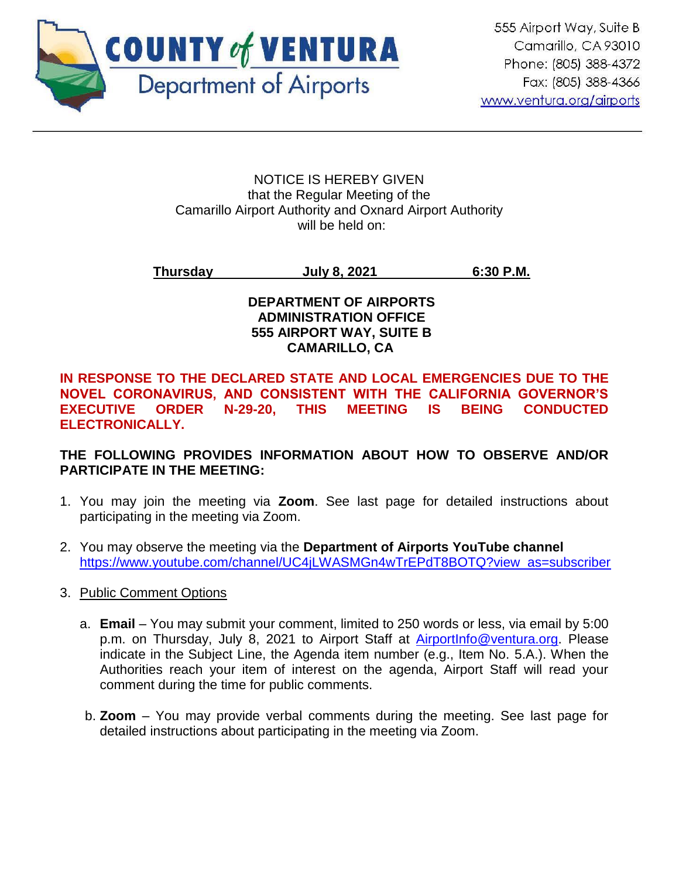

#### NOTICE IS HEREBY GIVEN that the Regular Meeting of the Camarillo Airport Authority and Oxnard Airport Authority will be held on:

## **Thursday July 8, 2021 6:30 P.M.**

#### **DEPARTMENT OF AIRPORTS ADMINISTRATION OFFICE 555 AIRPORT WAY, SUITE B CAMARILLO, CA**

#### **IN RESPONSE TO THE DECLARED STATE AND LOCAL EMERGENCIES DUE TO THE NOVEL CORONAVIRUS, AND CONSISTENT WITH THE CALIFORNIA GOVERNOR'S EXECUTIVE ORDER N-29-20, THIS MEETING IS BEING CONDUCTED ELECTRONICALLY.**

## **THE FOLLOWING PROVIDES INFORMATION ABOUT HOW TO OBSERVE AND/OR PARTICIPATE IN THE MEETING:**

- 1. You may join the meeting via **Zoom**. See last page for detailed instructions about participating in the meeting via Zoom.
- 2. You may observe the meeting via the **Department of Airports YouTube channel** [https://www.youtube.com/channel/UC4jLWASMGn4wTrEPdT8BOTQ?view\\_as=subscriber](https://www.youtube.com/channel/UC4jLWASMGn4wTrEPdT8BOTQ?view_as=subscriber)
- 3. Public Comment Options
	- a. **Email**  You may submit your comment, limited to 250 words or less, via email by 5:00 p.m. on Thursday, July 8, 2021 to Airport Staff at [AirportInfo@ventura.org.](mailto:AirportInfo@ventura.org) Please indicate in the Subject Line, the Agenda item number (e.g., Item No. 5.A.). When the Authorities reach your item of interest on the agenda, Airport Staff will read your comment during the time for public comments.
	- b. **Zoom** You may provide verbal comments during the meeting. See last page for detailed instructions about participating in the meeting via Zoom.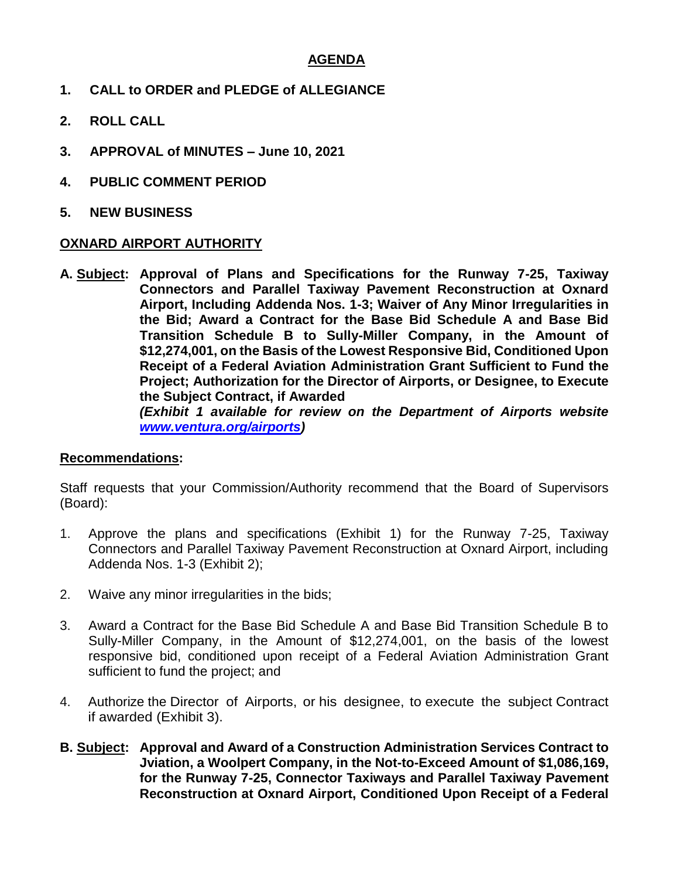#### **AGENDA**

- **1. CALL to ORDER and PLEDGE of ALLEGIANCE**
- **2. ROLL CALL**
- **3. APPROVAL of MINUTES – June 10, 2021**
- **4. PUBLIC COMMENT PERIOD**
- **5. NEW BUSINESS**

#### **OXNARD AIRPORT AUTHORITY**

**A. Subject: Approval of Plans and Specifications for the Runway 7-25, Taxiway Connectors and Parallel Taxiway Pavement Reconstruction at Oxnard Airport, Including Addenda Nos. 1-3; Waiver of Any Minor Irregularities in the Bid; Award a Contract for the Base Bid Schedule A and Base Bid Transition Schedule B to Sully-Miller Company, in the Amount of \$12,274,001, on the Basis of the Lowest Responsive Bid, Conditioned Upon Receipt of a Federal Aviation Administration Grant Sufficient to Fund the Project; Authorization for the Director of Airports, or Designee, to Execute the Subject Contract, if Awarded** *(Exhibit 1 available for review on the Department of Airports website [www.ventura.org/airports\)](http://www.ventura.org/airports)* 

#### **Recommendations:**

Staff requests that your Commission/Authority recommend that the Board of Supervisors (Board):

- 1. Approve the plans and specifications (Exhibit 1) for the Runway 7-25, Taxiway Connectors and Parallel Taxiway Pavement Reconstruction at Oxnard Airport, including Addenda Nos. 1-3 (Exhibit 2);
- 2. Waive any minor irregularities in the bids;
- 3. Award a Contract for the Base Bid Schedule A and Base Bid Transition Schedule B to Sully-Miller Company, in the Amount of \$12,274,001, on the basis of the lowest responsive bid, conditioned upon receipt of a Federal Aviation Administration Grant sufficient to fund the project; and
- 4. Authorize the Director of Airports, or his designee, to execute the subject Contract if awarded (Exhibit 3).
- **B. Subject: Approval and Award of a Construction Administration Services Contract to Jviation, a Woolpert Company, in the Not-to-Exceed Amount of \$1,086,169, for the Runway 7-25, Connector Taxiways and Parallel Taxiway Pavement Reconstruction at Oxnard Airport, Conditioned Upon Receipt of a Federal**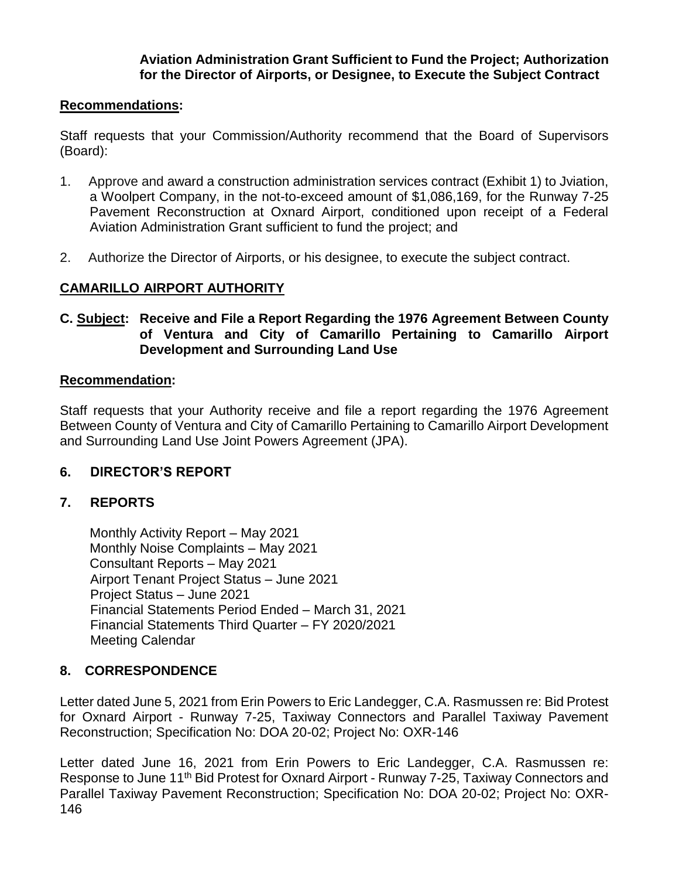#### **Aviation Administration Grant Sufficient to Fund the Project; Authorization for the Director of Airports, or Designee, to Execute the Subject Contract**

## **Recommendations:**

Staff requests that your Commission/Authority recommend that the Board of Supervisors (Board):

- 1. Approve and award a construction administration services contract (Exhibit 1) to Jviation, a Woolpert Company, in the not-to-exceed amount of \$1,086,169, for the Runway 7-25 Pavement Reconstruction at Oxnard Airport, conditioned upon receipt of a Federal Aviation Administration Grant sufficient to fund the project; and
- 2. Authorize the Director of Airports, or his designee, to execute the subject contract.

## **CAMARILLO AIRPORT AUTHORITY**

#### **C. Subject: Receive and File a Report Regarding the 1976 Agreement Between County of Ventura and City of Camarillo Pertaining to Camarillo Airport Development and Surrounding Land Use**

#### **Recommendation:**

Staff requests that your Authority receive and file a report regarding the 1976 Agreement Between County of Ventura and City of Camarillo Pertaining to Camarillo Airport Development and Surrounding Land Use Joint Powers Agreement (JPA).

## **6. DIRECTOR'S REPORT**

## **7. REPORTS**

Monthly Activity Report – May 2021 Monthly Noise Complaints – May 2021 Consultant Reports – May 2021 Airport Tenant Project Status – June 2021 Project Status – June 2021 Financial Statements Period Ended – March 31, 2021 Financial Statements Third Quarter – FY 2020/2021 Meeting Calendar

## **8. CORRESPONDENCE**

Letter dated June 5, 2021 from Erin Powers to Eric Landegger, C.A. Rasmussen re: Bid Protest for Oxnard Airport - Runway 7-25, Taxiway Connectors and Parallel Taxiway Pavement Reconstruction; Specification No: DOA 20-02; Project No: OXR-146

Letter dated June 16, 2021 from Erin Powers to Eric Landegger, C.A. Rasmussen re: Response to June 11th Bid Protest for Oxnard Airport - Runway 7-25, Taxiway Connectors and Parallel Taxiway Pavement Reconstruction; Specification No: DOA 20-02; Project No: OXR-146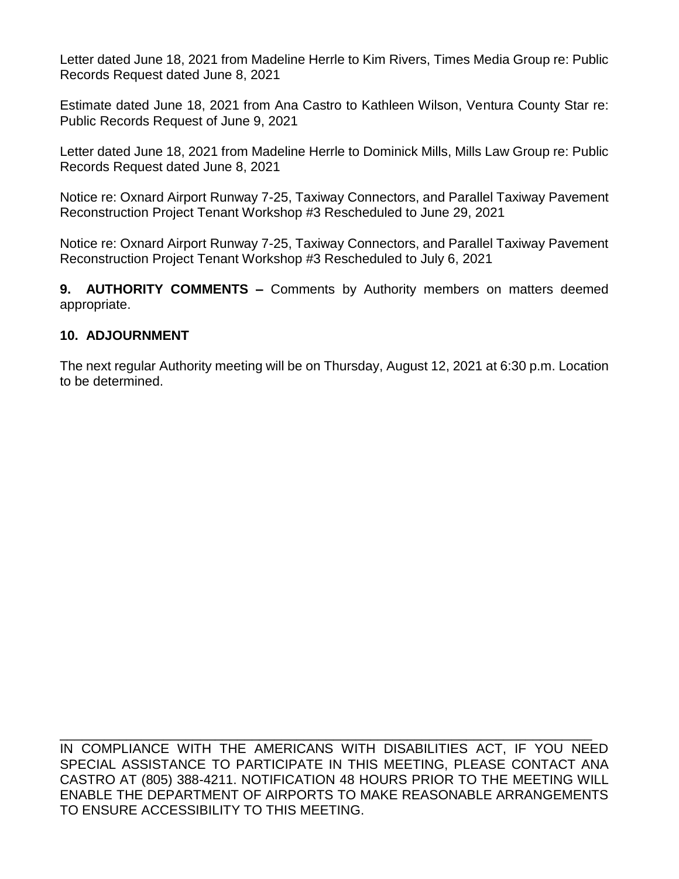Letter dated June 18, 2021 from Madeline Herrle to Kim Rivers, Times Media Group re: Public Records Request dated June 8, 2021

Estimate dated June 18, 2021 from Ana Castro to Kathleen Wilson, Ventura County Star re: Public Records Request of June 9, 2021

Letter dated June 18, 2021 from Madeline Herrle to Dominick Mills, Mills Law Group re: Public Records Request dated June 8, 2021

Notice re: Oxnard Airport Runway 7-25, Taxiway Connectors, and Parallel Taxiway Pavement Reconstruction Project Tenant Workshop #3 Rescheduled to June 29, 2021

Notice re: Oxnard Airport Runway 7-25, Taxiway Connectors, and Parallel Taxiway Pavement Reconstruction Project Tenant Workshop #3 Rescheduled to July 6, 2021

**9. AUTHORITY COMMENTS –** Comments by Authority members on matters deemed appropriate.

## **10. ADJOURNMENT**

The next regular Authority meeting will be on Thursday, August 12, 2021 at 6:30 p.m. Location to be determined.

\_\_\_\_\_\_\_\_\_\_\_\_\_\_\_\_\_\_\_\_\_\_\_\_\_\_\_\_\_\_\_\_\_\_\_\_\_\_\_\_\_\_\_\_\_\_\_\_\_\_\_\_\_\_\_\_\_\_\_\_\_\_\_\_\_\_\_\_\_\_\_\_ IN COMPLIANCE WITH THE AMERICANS WITH DISABILITIES ACT, IF YOU NEED SPECIAL ASSISTANCE TO PARTICIPATE IN THIS MEETING, PLEASE CONTACT ANA CASTRO AT (805) 388-4211. NOTIFICATION 48 HOURS PRIOR TO THE MEETING WILL ENABLE THE DEPARTMENT OF AIRPORTS TO MAKE REASONABLE ARRANGEMENTS TO ENSURE ACCESSIBILITY TO THIS MEETING.